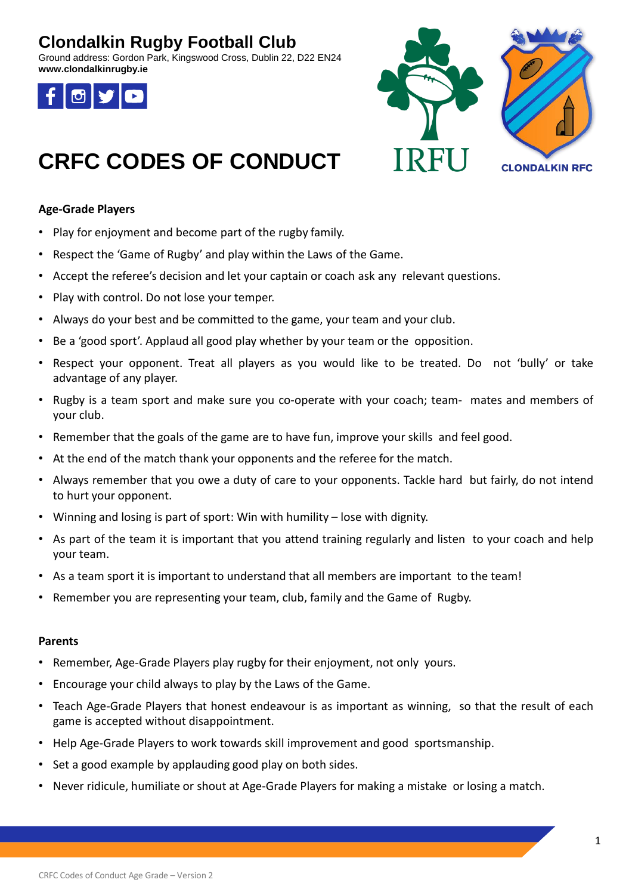## **Clondalkin Rugby Football Club**

Ground address: Gordon Park, Kingswood Cross, Dublin 22, D22 EN24 **www.clondalkinrugby.ie**





# **CRFC CODES OF CONDUCT**

### **Age-Grade Players**

- Play for enjoyment and become part of the rugby family.
- Respect the 'Game of Rugby' and play within the Laws of the Game.
- Accept the referee's decision and let your captain or coach ask any relevant questions.
- Play with control. Do not lose your temper.
- Always do your best and be committed to the game, your team and your club.
- Be a 'good sport'. Applaud all good play whether by your team or the opposition.
- Respect your opponent. Treat all players as you would like to be treated. Do not 'bully' or take advantage of any player.
- Rugby is a team sport and make sure you co-operate with your coach; team- mates and members of your club.
- Remember that the goals of the game are to have fun, improve your skills and feel good.
- At the end of the match thank your opponents and the referee for the match.
- Always remember that you owe a duty of care to your opponents. Tackle hard but fairly, do not intend to hurt your opponent.
- Winning and losing is part of sport: Win with humility lose with dignity.
- As part of the team it is important that you attend training regularly and listen to your coach and help your team.
- As a team sport it is important to understand that all members are important to the team!
- Remember you are representing your team, club, family and the Game of Rugby.

#### **Parents**

- Remember, Age-Grade Players play rugby for their enjoyment, not only yours.
- Encourage your child always to play by the Laws of the Game.
- Teach Age-Grade Players that honest endeavour is as important as winning, so that the result of each game is accepted without disappointment.
- Help Age-Grade Players to work towards skill improvement and good sportsmanship.
- Set a good example by applauding good play on both sides.
- Never ridicule, humiliate or shout at Age-Grade Players for making a mistake or losing a match.